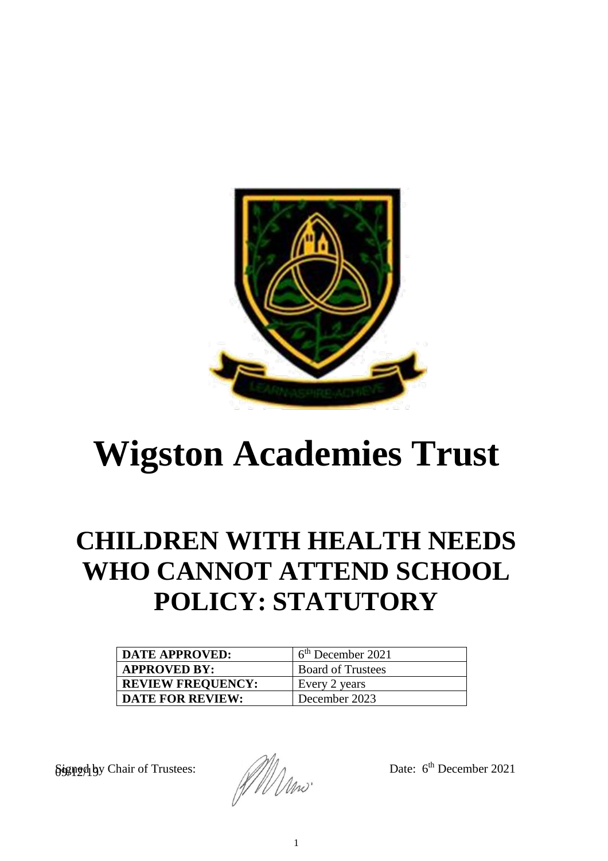

# **Wigston Academies Trust**

## **CHILDREN WITH HEALTH NEEDS WHO CANNOT ATTEND SCHOOL POLICY: STATUTORY**

| <b>DATE APPROVED:</b>    | 6 <sup>th</sup> December 2021 |
|--------------------------|-------------------------------|
| <b>APPROVED BY:</b>      | <b>Board of Trustees</b>      |
| <b>REVIEW FREQUENCY:</b> | Every 2 years                 |
| <b>DATE FOR REVIEW:</b>  | December 2023                 |

 $\frac{\partial \text{sgn2}}{\partial \text{sgn2}}$  by Chair of Trustees:  $\frac{1}{\sqrt{1-\frac{1}{2}}}$  Date:  $6^{\text{th}}$  December 2021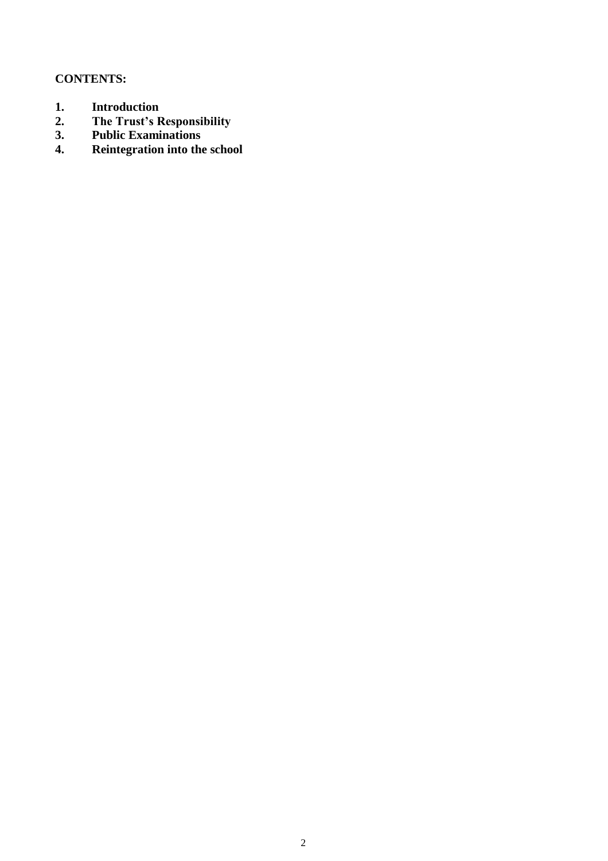### **CONTENTS:**

- 1. **Introduction**<br>2. The Trust's R
- **2. The Trust's Responsibility**
- **3. Public Examinations**
- **4. Reintegration into the school**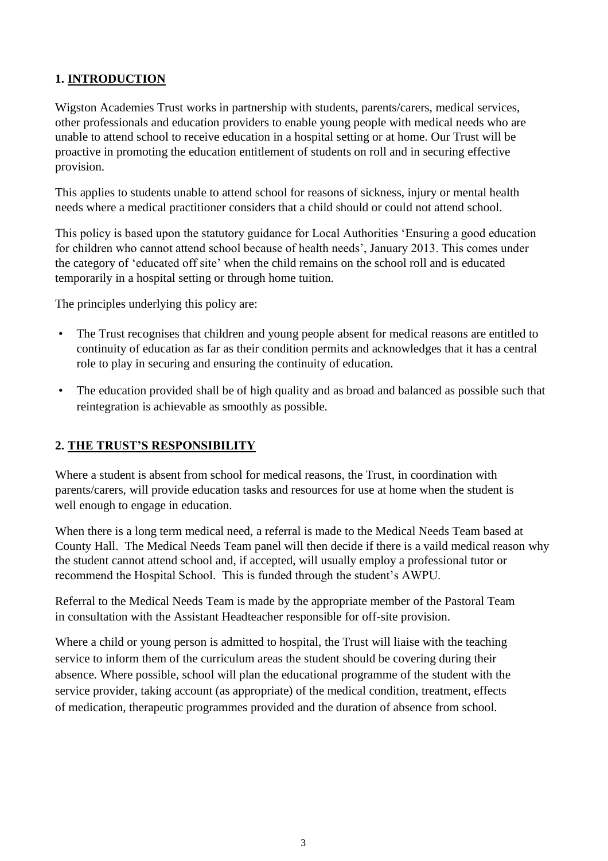#### **1. INTRODUCTION**

Wigston Academies Trust works in partnership with students, parents/carers, medical services, other professionals and education providers to enable young people with medical needs who are unable to attend school to receive education in a hospital setting or at home. Our Trust will be proactive in promoting the education entitlement of students on roll and in securing effective provision.

This applies to students unable to attend school for reasons of sickness, injury or mental health needs where a medical practitioner considers that a child should or could not attend school.

This policy is based upon the statutory guidance for Local Authorities 'Ensuring a good education for children who cannot attend school because of health needs', January 2013. This comes under the category of 'educated off site' when the child remains on the school roll and is educated temporarily in a hospital setting or through home tuition.

The principles underlying this policy are:

- The Trust recognises that children and young people absent for medical reasons are entitled to continuity of education as far as their condition permits and acknowledges that it has a central role to play in securing and ensuring the continuity of education.
- The education provided shall be of high quality and as broad and balanced as possible such that reintegration is achievable as smoothly as possible.

#### **2. THE TRUST'S RESPONSIBILITY**

Where a student is absent from school for medical reasons, the Trust, in coordination with parents/carers, will provide education tasks and resources for use at home when the student is well enough to engage in education.

When there is a long term medical need, a referral is made to the Medical Needs Team based at County Hall. The Medical Needs Team panel will then decide if there is a vaild medical reason why the student cannot attend school and, if accepted, will usually employ a professional tutor or recommend the Hospital School. This is funded through the student's AWPU.

Referral to the Medical Needs Team is made by the appropriate member of the Pastoral Team in consultation with the Assistant Headteacher responsible for off-site provision.

Where a child or young person is admitted to hospital, the Trust will liaise with the teaching service to inform them of the curriculum areas the student should be covering during their absence. Where possible, school will plan the educational programme of the student with the service provider, taking account (as appropriate) of the medical condition, treatment, effects of medication, therapeutic programmes provided and the duration of absence from school.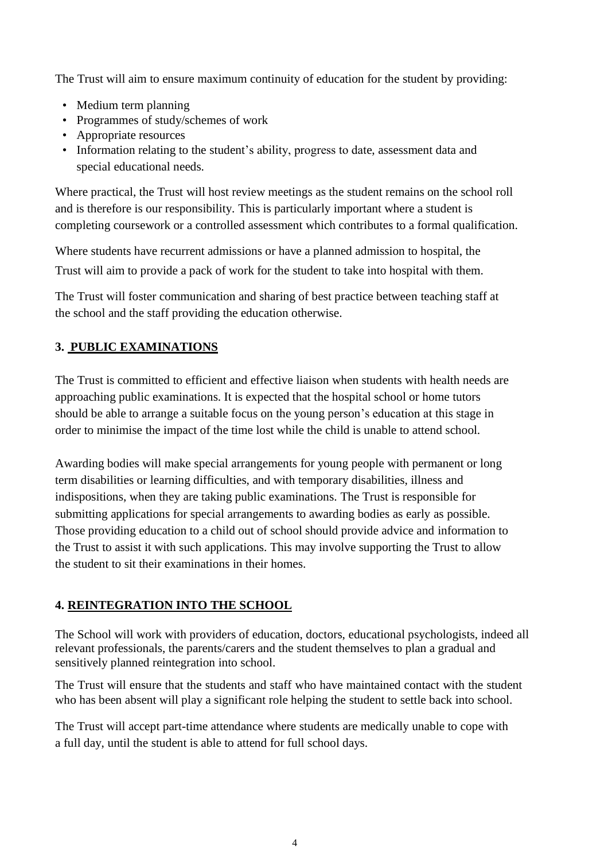The Trust will aim to ensure maximum continuity of education for the student by providing:

- Medium term planning
- Programmes of study/schemes of work
- Appropriate resources
- Information relating to the student's ability, progress to date, assessment data and special educational needs.

Where practical, the Trust will host review meetings as the student remains on the school roll and is therefore is our responsibility. This is particularly important where a student is completing coursework or a controlled assessment which contributes to a formal qualification.

Where students have recurrent admissions or have a planned admission to hospital, the Trust will aim to provide a pack of work for the student to take into hospital with them.

The Trust will foster communication and sharing of best practice between teaching staff at the school and the staff providing the education otherwise.

### **3. PUBLIC EXAMINATIONS**

The Trust is committed to efficient and effective liaison when students with health needs are approaching public examinations. It is expected that the hospital school or home tutors should be able to arrange a suitable focus on the young person's education at this stage in order to minimise the impact of the time lost while the child is unable to attend school.

Awarding bodies will make special arrangements for young people with permanent or long term disabilities or learning difficulties, and with temporary disabilities, illness and indispositions, when they are taking public examinations. The Trust is responsible for submitting applications for special arrangements to awarding bodies as early as possible. Those providing education to a child out of school should provide advice and information to the Trust to assist it with such applications. This may involve supporting the Trust to allow the student to sit their examinations in their homes.

#### **4. REINTEGRATION INTO THE SCHOOL**

The School will work with providers of education, doctors, educational psychologists, indeed all relevant professionals, the parents/carers and the student themselves to plan a gradual and sensitively planned reintegration into school.

The Trust will ensure that the students and staff who have maintained contact with the student who has been absent will play a significant role helping the student to settle back into school.

The Trust will accept part-time attendance where students are medically unable to cope with a full day, until the student is able to attend for full school days.